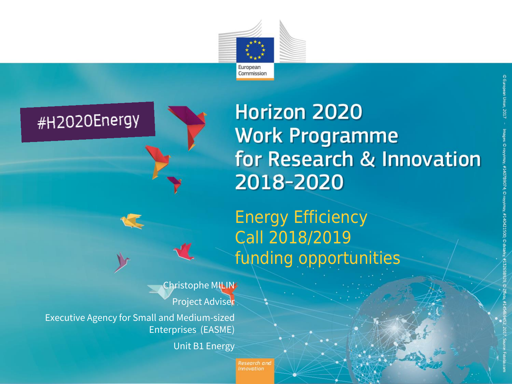



**Horizon 2020 Work Programme** for Research & Innovation 2018-2020

Energy Efficiency Call 2018/2019 funding opportunities

Christophe MILIN Project Adviser

Executive Agency for Small and Medium-sized Enterprises (EASME)

Unit B1 Energy

Research and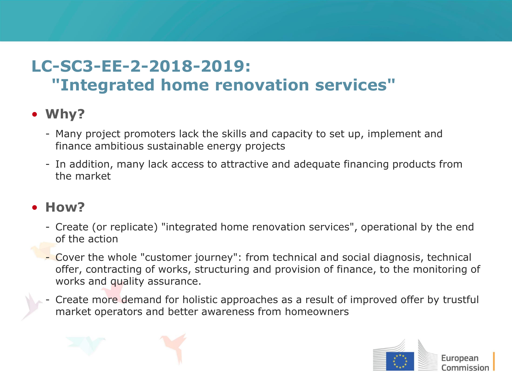## **LC-SC3-EE-2-2018-2019: "Integrated home renovation services"**

## • **Why?**

- Many project promoters lack the skills and capacity to set up, implement and finance ambitious sustainable energy projects
- In addition, many lack access to attractive and adequate financing products from the market

## • **How?**

- Create (or replicate) "integrated home renovation services", operational by the end of the action
- Cover the whole "customer journey": from technical and social diagnosis, technical offer, contracting of works, structuring and provision of finance, to the monitoring of works and quality assurance.
- Create more demand for holistic approaches as a result of improved offer by trustful market operators and better awareness from homeowners

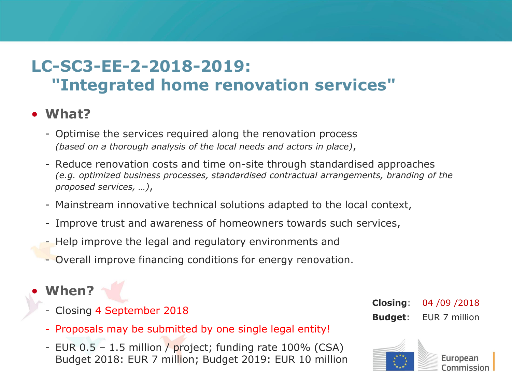## **LC-SC3-EE-2-2018-2019: "Integrated home renovation services"**

#### • **What?**

- Optimise the services required along the renovation process *(based on a thorough analysis of the local needs and actors in place)*,
- Reduce renovation costs and time on-site through standardised approaches *(e.g. optimized business processes, standardised contractual arrangements, branding of the proposed services, …)*,
- Mainstream innovative technical solutions adapted to the local context,
- Improve trust and awareness of homeowners towards such services,
- Help improve the legal and regulatory environments and
- Overall improve financing conditions for energy renovation.

## • **When?**

- Closing 4 September 2018

- **Closing**: 04 /09 /2018 **Budget**: EUR 7 million
- European Commission
- Proposals may be submitted by one single legal entity!
- EUR 0.5 1.5 million / project; funding rate 100% (CSA) Budget 2018: EUR 7 million; Budget 2019: EUR 10 million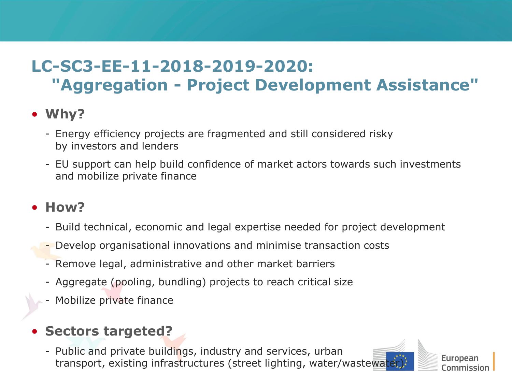## **LC-SC3-EE-11-2018-2019-2020: "Aggregation - Project Development Assistance"**

#### • **Why?**

- Energy efficiency projects are fragmented and still considered risky by investors and lenders
- EU support can help build confidence of market actors towards such investments and mobilize private finance

#### • **How?**

- Build technical, economic and legal expertise needed for project development
- Develop organisational innovations and minimise transaction costs
- Remove legal, administrative and other market barriers
- Aggregate (pooling, bundling) projects to reach critical size
- Mobilize private finance

## • **Sectors targeted?**

- Public and private buildings, industry and services, urban transport, existing infrastructures (street lighting, water/wastewater)

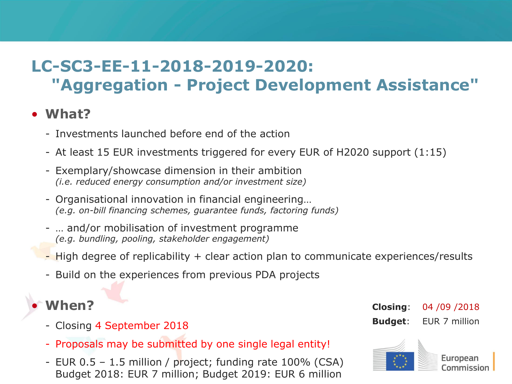## **LC-SC3-EE-11-2018-2019-2020: "Aggregation - Project Development Assistance"**

#### • **What?**

- Investments launched before end of the action
- At least 15 EUR investments triggered for every EUR of H2020 support (1:15)
- Exemplary/showcase dimension in their ambition *(i.e. reduced energy consumption and/or investment size)*
- Organisational innovation in financial engineering… *(e.g. on-bill financing schemes, guarantee funds, factoring funds)*
- … and/or mobilisation of investment programme *(e.g. bundling, pooling, stakeholder engagement)*
- $\overline{\phantom{a}}$  High degree of replicability  $+$  clear action plan to communicate experiences/results
- Build on the experiences from previous PDA projects

## • **When?**

- Closing 4 September 2018
- Proposals may be submitted by one single legal entity!
- EUR 0.5 1.5 million / project; funding rate 100% (CSA) Budget 2018: EUR 7 million; Budget 2019: EUR 6 million

**Closing**: 04 /09 /2018 **Budget**: EUR 7 million

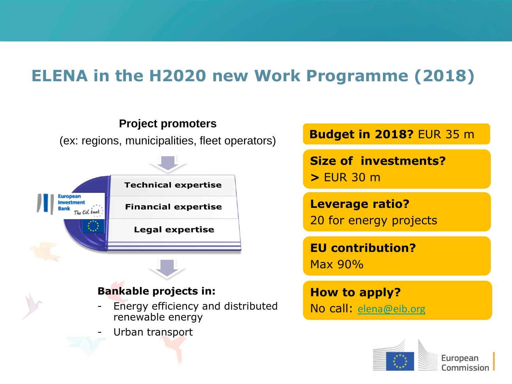## **ELENA in the H2020 new Work Programme (2018)**



**Budget in 2018?** EUR 35 m

**Size of investments? >** EUR 30 m

**Leverage ratio?**  20 for energy projects

**EU contribution?**  Max 90%

**How to apply?** No call: [elena@eib.org](mailto:elena@eib.org)

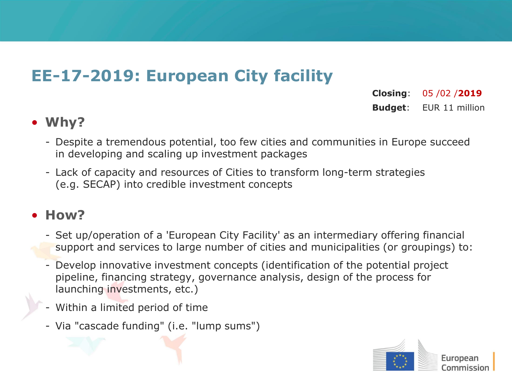## **EE-17-2019: European City facility**

**Closing**: 05 /02 /**2019 Budget**: EUR 11 million

#### • **Why?**

- Despite a tremendous potential, too few cities and communities in Europe succeed in developing and scaling up investment packages
- Lack of capacity and resources of Cities to transform long-term strategies (e.g. SECAP) into credible investment concepts

## • **How?**

- Set up/operation of a 'European City Facility' as an intermediary offering financial support and services to large number of cities and municipalities (or groupings) to:
- Develop innovative investment concepts (identification of the potential project pipeline, financing strategy, governance analysis, design of the process for launching investments, etc.)
- Within a limited period of time
- Via "cascade funding" (i.e. "lump sums")

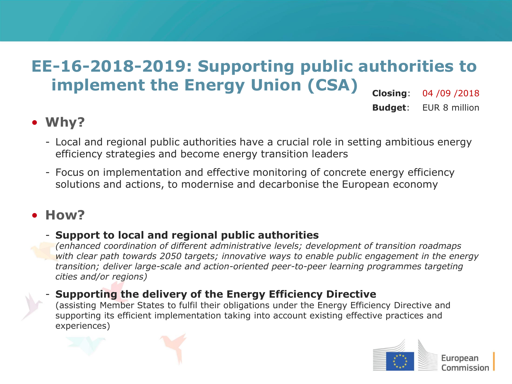#### **EE-16-2018-2019: Supporting public authorities to implement the Energy Union (CSA) Closing**: 04 /09 /2018

**Budget**: EUR 8 million

#### • **Why?**

- Local and regional public authorities have a crucial role in setting ambitious energy efficiency strategies and become energy transition leaders
- Focus on implementation and effective monitoring of concrete energy efficiency solutions and actions, to modernise and decarbonise the European economy

## • **How?**

experiences)

#### - **Support to local and regional public authorities**

*(enhanced coordination of different administrative levels; development of transition roadmaps with clear path towards 2050 targets; innovative ways to enable public engagement in the energy transition; deliver large-scale and action-oriented peer-to-peer learning programmes targeting cities and/or regions)*

#### - **Supporting the delivery of the Energy Efficiency Directive** (assisting Member States to fulfil their obligations under the Energy Efficiency Directive and supporting its efficient implementation taking into account existing effective practices and

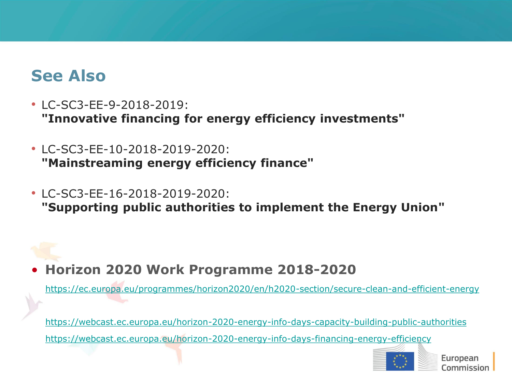## **See Also**

- LC-SC3-EE-9-2018-2019: **"Innovative financing for energy efficiency investments"**
- LC-SC3-EE-10-2018-2019-2020: **"Mainstreaming energy efficiency finance"**
- LC-SC3-EE-16-2018-2019-2020: **"Supporting public authorities to implement the Energy Union"**

## • **Horizon 2020 Work Programme 2018-2020**

<https://ec.europa.eu/programmes/horizon2020/en/h2020-section/secure-clean-and-efficient-energy>

<https://webcast.ec.europa.eu/horizon-2020-energy-info-days-capacity-building-public-authorities> <https://webcast.ec.europa.eu/horizon-2020-energy-info-days-financing-energy-efficiency>